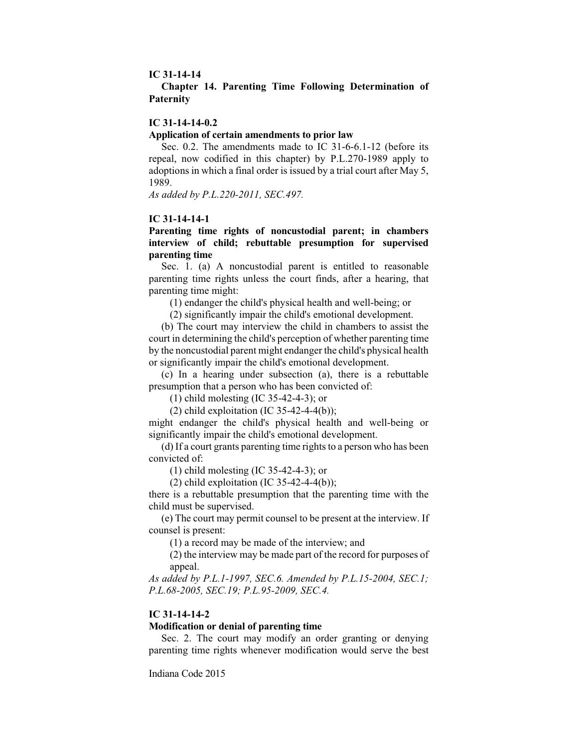#### **IC 31-14-14**

### **Chapter 14. Parenting Time Following Determination of Paternity**

#### **IC 31-14-14-0.2**

#### **Application of certain amendments to prior law**

Sec. 0.2. The amendments made to IC 31-6-6.1-12 (before its repeal, now codified in this chapter) by P.L.270-1989 apply to adoptions in which a final order is issued by a trial court after May 5, 1989.

*As added by P.L.220-2011, SEC.497.*

#### **IC 31-14-14-1**

## **Parenting time rights of noncustodial parent; in chambers interview of child; rebuttable presumption for supervised parenting time**

Sec. 1. (a) A noncustodial parent is entitled to reasonable parenting time rights unless the court finds, after a hearing, that parenting time might:

(1) endanger the child's physical health and well-being; or

(2) significantly impair the child's emotional development.

(b) The court may interview the child in chambers to assist the court in determining the child's perception of whether parenting time by the noncustodial parent might endanger the child's physical health or significantly impair the child's emotional development.

(c) In a hearing under subsection (a), there is a rebuttable presumption that a person who has been convicted of:

(1) child molesting (IC 35-42-4-3); or

(2) child exploitation (IC 35-42-4-4(b));

might endanger the child's physical health and well-being or significantly impair the child's emotional development.

(d) If a court grants parenting time rights to a person who has been convicted of:

(1) child molesting (IC 35-42-4-3); or

(2) child exploitation (IC 35-42-4-4(b));

there is a rebuttable presumption that the parenting time with the child must be supervised.

(e) The court may permit counsel to be present at the interview. If counsel is present:

(1) a record may be made of the interview; and

(2) the interview may be made part of the record for purposes of appeal.

*As added by P.L.1-1997, SEC.6. Amended by P.L.15-2004, SEC.1; P.L.68-2005, SEC.19; P.L.95-2009, SEC.4.*

#### **IC 31-14-14-2**

### **Modification or denial of parenting time**

Sec. 2. The court may modify an order granting or denying parenting time rights whenever modification would serve the best

Indiana Code 2015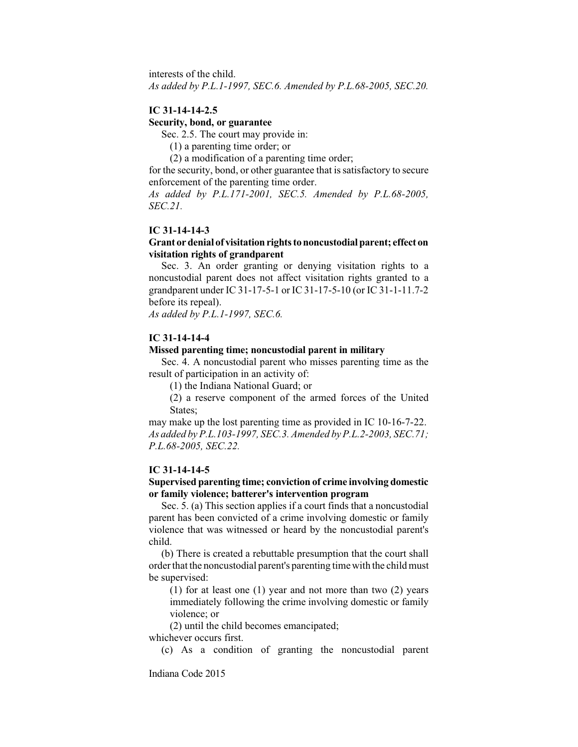interests of the child.

*As added by P.L.1-1997, SEC.6. Amended by P.L.68-2005, SEC.20.*

## **IC 31-14-14-2.5**

#### **Security, bond, or guarantee**

Sec. 2.5. The court may provide in:

(1) a parenting time order; or

(2) a modification of a parenting time order;

for the security, bond, or other guarantee that is satisfactory to secure enforcement of the parenting time order.

*As added by P.L.171-2001, SEC.5. Amended by P.L.68-2005, SEC.21.*

#### **IC 31-14-14-3**

### **Grant ordenial of visitationrightstononcustodialparent; effect on visitation rights of grandparent**

Sec. 3. An order granting or denying visitation rights to a noncustodial parent does not affect visitation rights granted to a grandparent under IC 31-17-5-1 or IC 31-17-5-10 (or IC 31-1-11.7-2 before its repeal).

*As added by P.L.1-1997, SEC.6.*

#### **IC 31-14-14-4**

### **Missed parenting time; noncustodial parent in military**

Sec. 4. A noncustodial parent who misses parenting time as the result of participation in an activity of:

(1) the Indiana National Guard; or

(2) a reserve component of the armed forces of the United States;

may make up the lost parenting time as provided in IC 10-16-7-22. *As added by P.L.103-1997, SEC.3. Amended by P.L.2-2003, SEC.71; P.L.68-2005, SEC.22.*

#### **IC 31-14-14-5**

### **Supervised parenting time; conviction of crime involving domestic or family violence; batterer's intervention program**

Sec. 5. (a) This section applies if a court finds that a noncustodial parent has been convicted of a crime involving domestic or family violence that was witnessed or heard by the noncustodial parent's child.

(b) There is created a rebuttable presumption that the court shall order that the noncustodial parent's parenting time with the child must be supervised:

(1) for at least one (1) year and not more than two (2) years immediately following the crime involving domestic or family violence; or

(2) until the child becomes emancipated;

whichever occurs first.

(c) As a condition of granting the noncustodial parent

Indiana Code 2015